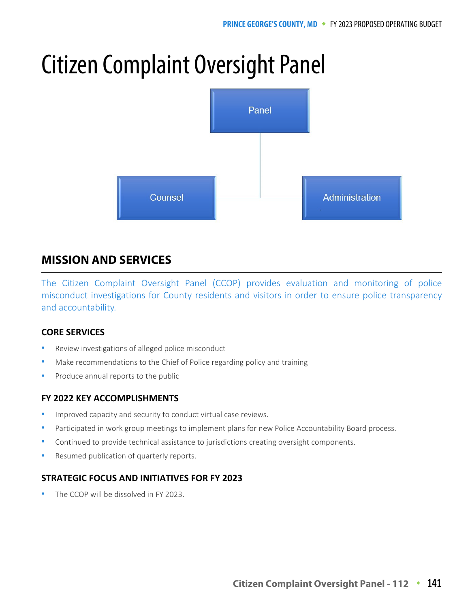# Citizen Complaint Oversight Panel



## **MISSION AND SERVICES MISSION AND SERVICES**

The Citizen Complaint Oversight Panel (CCOP) provides evaluation and monitoring of police misconduct investigations for County residents and visitors in order to ensure police transparency and accountability.

## **CORE SERVICES**

- Review investigations of alleged police misconduct
- Make recommendations to the Chief of Police regarding policy and training
- Produce annual reports to the public

## **FY 2022 KEY ACCOMPLISHMENTS**

- Improved capacity and security to conduct virtual case reviews.
- Participated in work group meetings to implement plans for new Police Accountability Board process.
- Continued to provide technical assistance to jurisdictions creating oversight components.
- Resumed publication of quarterly reports.

## **STRATEGIC FOCUS AND INITIATIVES FOR FY 2023**

The CCOP will be dissolved in FY 2023.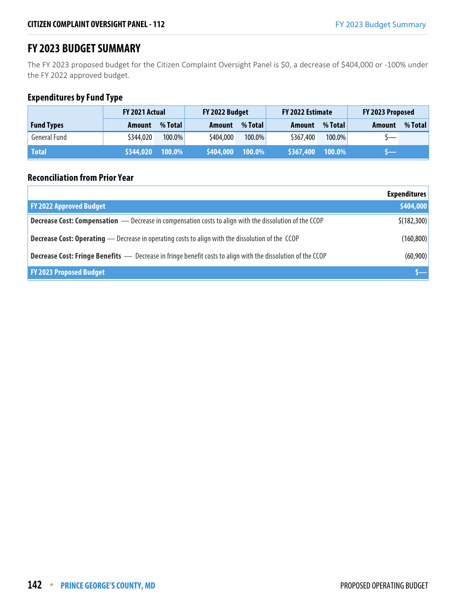# **FY 2023 BUDGET SUMMARY**

The FY 2023 proposed budget for the Citizen Complaint Oversight Panel is \$0, a decrease of \$404,000 or -100% under the FY 2022 approved budget.

## **Expenditures by Fund Type**

|                     | <b>FY 2021 Actual</b> |         | FY 2022 Budget |           | FY 2022 Estimate |           | FY 2023 Proposed         |         |
|---------------------|-----------------------|---------|----------------|-----------|------------------|-----------|--------------------------|---------|
| <b>Fund Types</b>   | Amount                | % Total | Amount         | % Total   | Amount           | % Total   | Amount                   | % Total |
| <b>General Fund</b> | \$344,020             | 100.0%  | \$404,000      | 100.0%    | \$367,400        | $100.0\%$ | $\overline{\phantom{0}}$ |         |
| <b>Total</b>        | \$344,020             | 100.0%  | \$404,000      | $100.0\%$ | \$367,400        | $100.0\%$ |                          |         |

#### **Reconciliation from Prior Year**

|                                                                                                                    | <b>Expenditures</b> |
|--------------------------------------------------------------------------------------------------------------------|---------------------|
| <b>FY 2022 Approved Budget</b>                                                                                     | \$404,000           |
| <b>Decrease Cost: Compensation</b> — Decrease in compensation costs to align with the dissolution of the CCOP      | \$(182,300)         |
| <b>Decrease Cost: Operating</b> — Decrease in operating costs to align with the dissolution of the CCOP            | (160, 800)          |
| <b>Decrease Cost: Fringe Benefits</b> - Decrease in fringe benefit costs to align with the dissolution of the CCOP | (60,900)            |
| <b>FY 2023 Proposed Budget</b>                                                                                     |                     |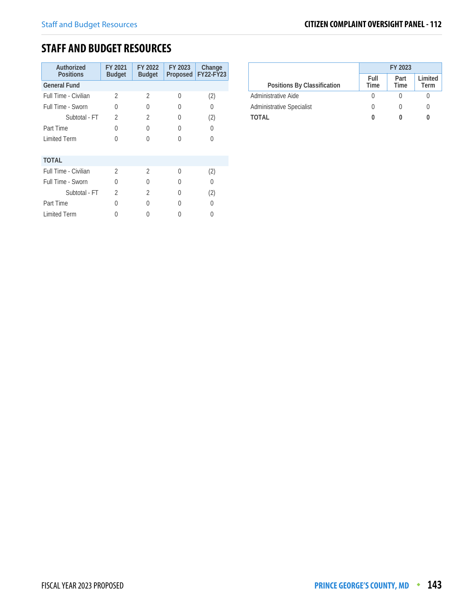# **STAFF AND BUDGET RESOURCES**

| Authorized<br><b>Positions</b> | FY 2021<br><b>Budget</b> | FY 2022<br><b>Budget</b> | FY 2023          | Change<br>Proposed FY22-FY23 |
|--------------------------------|--------------------------|--------------------------|------------------|------------------------------|
| <b>General Fund</b>            |                          |                          |                  |                              |
| Full Time - Civilian           | 2                        | $\mathfrak{D}$           | <sup>0</sup>     | (2)                          |
| Full Time - Sworn              | 0                        | 0                        | $\left( \right)$ | 0                            |
| Subtotal - FT                  | $\overline{2}$           | $\mathfrak{D}$           | O                | (2)                          |
| Part Time                      | 0                        | U                        | 0                | 0                            |
| <b>Limited Term</b>            | $\Omega$                 | U                        | O                | 0                            |
| <b>TOTAL</b>                   |                          |                          |                  |                              |
| Full Time - Civilian           | $\mathfrak{D}$           | $\overline{2}$           | 0                | (2)                          |
| <b>Full Time - Sworn</b>       | 0                        | U                        | $\left( \right)$ | 0                            |
| Subtotal - FT                  | $\mathfrak{D}$           | $\overline{2}$           | 0                | (2)                          |
| Part Time                      | 0                        | Λ                        | O                | 0                            |
| <b>Limited Term</b>            | 0                        |                          |                  | 0                            |

|                                  | FY 2023      |              |                 |  |  |
|----------------------------------|--------------|--------------|-----------------|--|--|
| Positions By Classification      | Full<br>Time | Part<br>Time | Limited<br>Term |  |  |
| Administrative Aide              |              |              |                 |  |  |
| <b>Administrative Specialist</b> |              |              |                 |  |  |
| TOTAI                            |              |              |                 |  |  |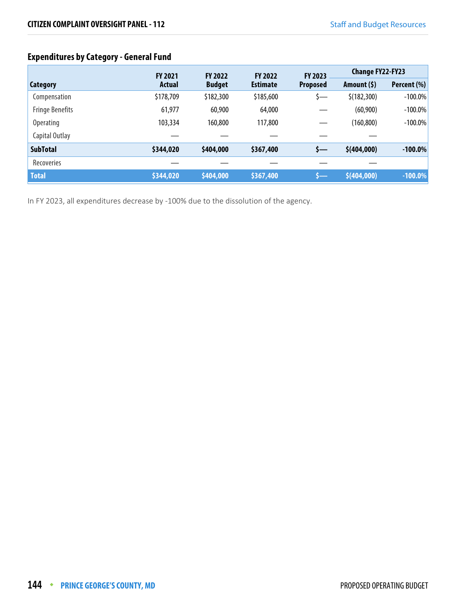# **Expenditures by Category - General Fund**

|                        | <b>FY 2021</b> | <b>FY 2022</b> | <b>FY 2022</b>  | FY 2023         | <b>Change FY22-FY23</b> |             |
|------------------------|----------------|----------------|-----------------|-----------------|-------------------------|-------------|
| <b>Category</b>        | <b>Actual</b>  | <b>Budget</b>  | <b>Estimate</b> | <b>Proposed</b> | Amount $(5)$            | Percent (%) |
| Compensation           | \$178,709      | \$182,300      | \$185,600       | S—              | \$(182,300)             | $-100.0\%$  |
| <b>Fringe Benefits</b> | 61,977         | 60,900         | 64,000          |                 | (60, 900)               | $-100.0\%$  |
| <b>Operating</b>       | 103,334        | 160,800        | 117,800         |                 | (160, 800)              | $-100.0\%$  |
| Capital Outlay         |                |                |                 |                 |                         |             |
| <b>SubTotal</b>        | \$344,020      | \$404,000      | \$367,400       | \$—             | \$(404,000)             | $-100.0\%$  |
| Recoveries             |                |                |                 |                 |                         |             |
| <b>Total</b>           | \$344,020      | \$404,000      | \$367,400       | s—              | \$(404,000)             | $-100.0\%$  |

In FY 2023, all expenditures decrease by -100% due to the dissolution of the agency.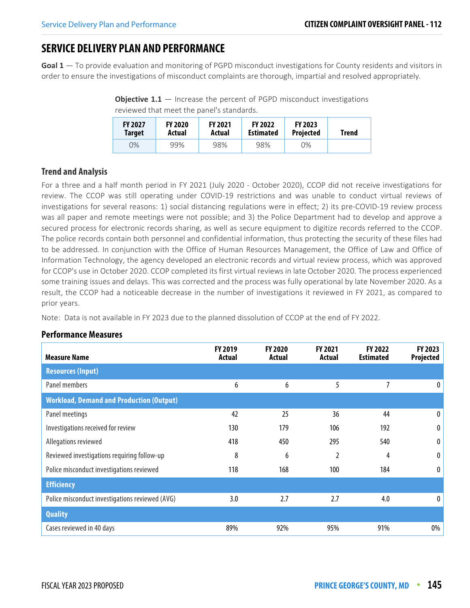# **SERVICE DELIVERY PLAN AND PERFORMANCE**

**Goal 1** — To provide evaluation and monitoring of PGPD misconduct investigations for County residents and visitors in order to ensure the investigations of misconduct complaints are thorough, impartial and resolved appropriately.

**Objective 1.1** – Increase the percent of PGPD misconduct investigations reviewed that meet the panel's standards.

| <b>FY 2027</b><br>Target | <b>FY 2020</b><br>Actual | <b>FY 2021</b><br>Actual | <b>FY 2022</b><br><b>Estimated</b> | <b>FY 2023</b><br><b>Projected</b> | <b>Trend</b> |
|--------------------------|--------------------------|--------------------------|------------------------------------|------------------------------------|--------------|
| $O\%$                    | 99%                      | 98%                      | 98%                                | 0%                                 |              |

## **Trend and Analysis**

For a three and a half month period in FY 2021 (July 2020 - October 2020), CCOP did not receive investigations for review. The CCOP was still operating under COVID-19 restrictions and was unable to conduct virtual reviews of investigations for several reasons: 1) social distancing regulations were in effect; 2) its pre-COVID-19 review process was all paper and remote meetings were not possible; and 3) the Police Department had to develop and approve a secured process for electronic records sharing, as well as secure equipment to digitize records referred to the CCOP. The police records contain both personnel and confidential information, thus protecting the security of these files had to be addressed. In conjunction with the Office of Human Resources Management, the Office of Law and Office of Information Technology, the agency developed an electronic records and virtual review process, which was approved for CCOP's use in October 2020. CCOP completed its first virtual reviews in late October 2020. The process experienced some training issues and delays. This was corrected and the process was fully operational by late November 2020. As a result, the CCOP had a noticeable decrease in the number of investigations it reviewed in FY 2021, as compared to prior years.

Note: Data is not available in FY 2023 due to the planned dissolution of CCOP at the end of FY 2022.

#### **Performance Measures**

| <b>Measure Name</b>                             | FY 2019<br>Actual | <b>FY 2020</b><br>Actual | FY 2021<br>Actual | FY 2022<br><b>Estimated</b> | FY 2023<br>Projected |
|-------------------------------------------------|-------------------|--------------------------|-------------------|-----------------------------|----------------------|
| <b>Resources (Input)</b>                        |                   |                          |                   |                             |                      |
| Panel members                                   | 6                 | 6                        | 5                 | 7                           | $\mathbf{0}$         |
| <b>Workload, Demand and Production (Output)</b> |                   |                          |                   |                             |                      |
| Panel meetings                                  | 42                | 25                       | 36                | 44                          | 0                    |
| Investigations received for review              | 130               | 179                      | 106               | 192                         | 0                    |
| Allegations reviewed                            | 418               | 450                      | 295               | 540                         | $\bf{0}$             |
| Reviewed investigations requiring follow-up     | 8                 | 6                        | 2                 | 4                           | 0                    |
| Police misconduct investigations reviewed       | 118               | 168                      | 100               | 184                         | $\bf{0}$             |
| <b>Efficiency</b>                               |                   |                          |                   |                             |                      |
| Police misconduct investigations reviewed (AVG) | 3.0               | 2.7                      | 2.7               | 4.0                         | $\mathbf{0}$         |
| <b>Quality</b>                                  |                   |                          |                   |                             |                      |
| Cases reviewed in 40 days                       | 89%               | 92%                      | 95%               | 91%                         | 0%                   |